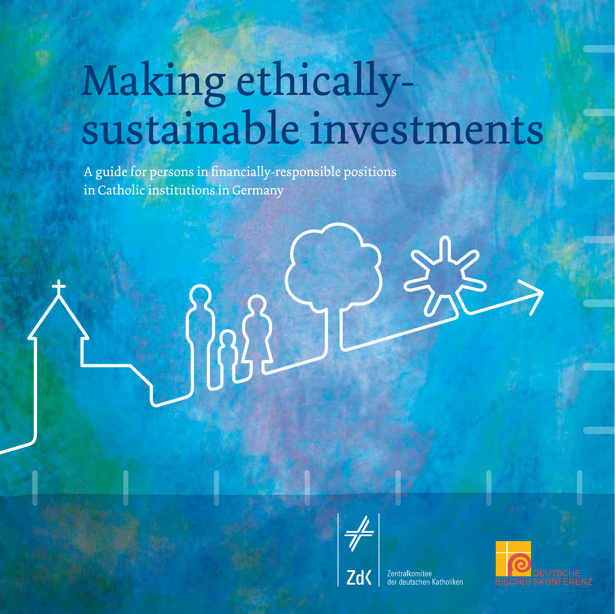# Making ethicallysustainable investments

A guide for persons in financially-responsible positions in Catholic institutions in Germany

 $\left\{\begin{matrix}3\\3\end{matrix}\right\}$ 



**Zentralkomitee** der deutschen Katholiken

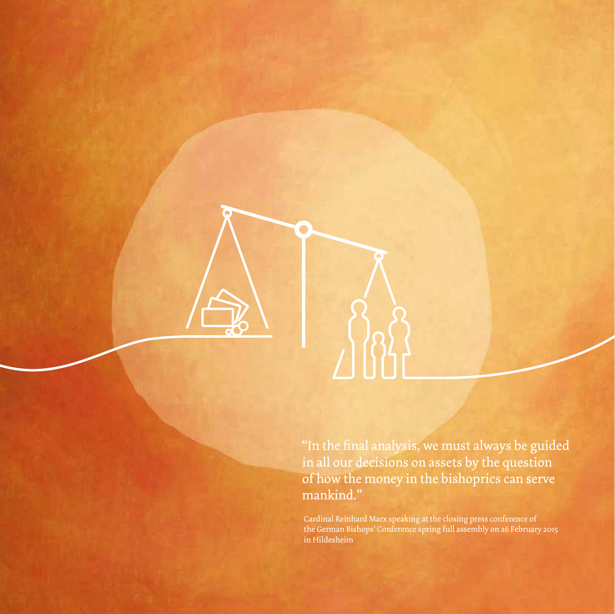

"In the final analysis, we must always be guided in all our decisions on assets by the question of how the money in the bishoprics can serve mankind."

Cardinal Reinhard Marx speaking at the closing press conference of the German Bishops' Conference spring full assembly on 26 February 2015 in Hildesheim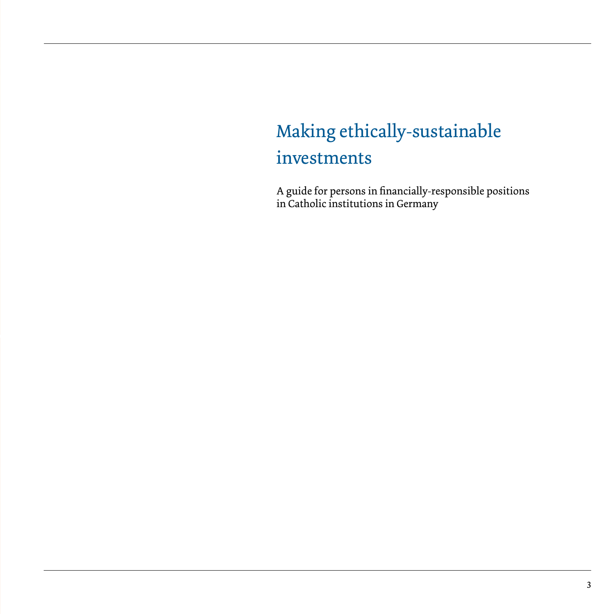## Making ethically-sustainable investments

A guide for persons in financially-responsible positions in Catholic institutions in Germany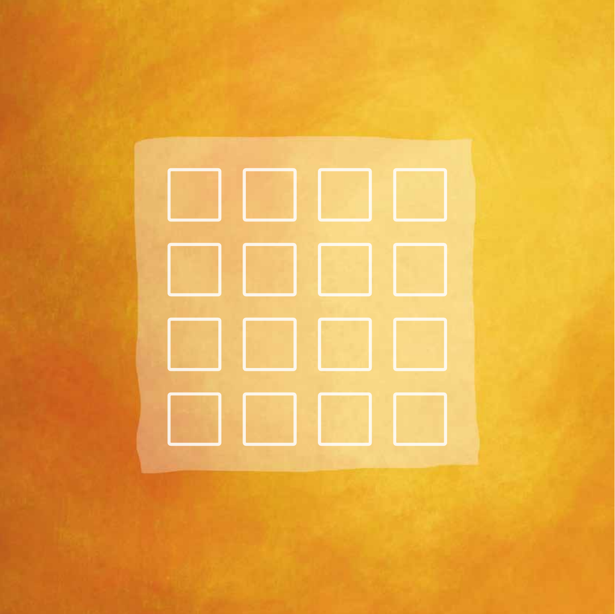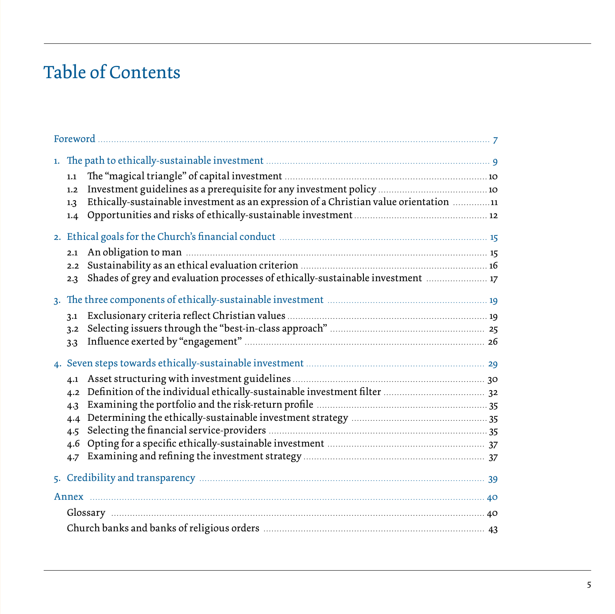### Table of Contents

| 1.1                                                                                                                                                                                                                                  |  |
|--------------------------------------------------------------------------------------------------------------------------------------------------------------------------------------------------------------------------------------|--|
| 1.2                                                                                                                                                                                                                                  |  |
| Ethically-sustainable investment as an expression of a Christian value orientation 11<br>1.3                                                                                                                                         |  |
| 1.4                                                                                                                                                                                                                                  |  |
|                                                                                                                                                                                                                                      |  |
| An obligation to man manufacture and the contract of the state of the state of the state of the state of the state of the state of the state of the state of the state of the state of the state of the state of the state of<br>2.1 |  |
|                                                                                                                                                                                                                                      |  |
| 2.3 Shades of grey and evaluation processes of ethically-sustainable investment  17                                                                                                                                                  |  |
|                                                                                                                                                                                                                                      |  |
|                                                                                                                                                                                                                                      |  |
| 3.2                                                                                                                                                                                                                                  |  |
| 3·3                                                                                                                                                                                                                                  |  |
|                                                                                                                                                                                                                                      |  |
|                                                                                                                                                                                                                                      |  |
|                                                                                                                                                                                                                                      |  |
| 4.3                                                                                                                                                                                                                                  |  |
| 4.4                                                                                                                                                                                                                                  |  |
| 4.5                                                                                                                                                                                                                                  |  |
| 4.6                                                                                                                                                                                                                                  |  |
| 4.7                                                                                                                                                                                                                                  |  |
|                                                                                                                                                                                                                                      |  |
|                                                                                                                                                                                                                                      |  |
|                                                                                                                                                                                                                                      |  |
|                                                                                                                                                                                                                                      |  |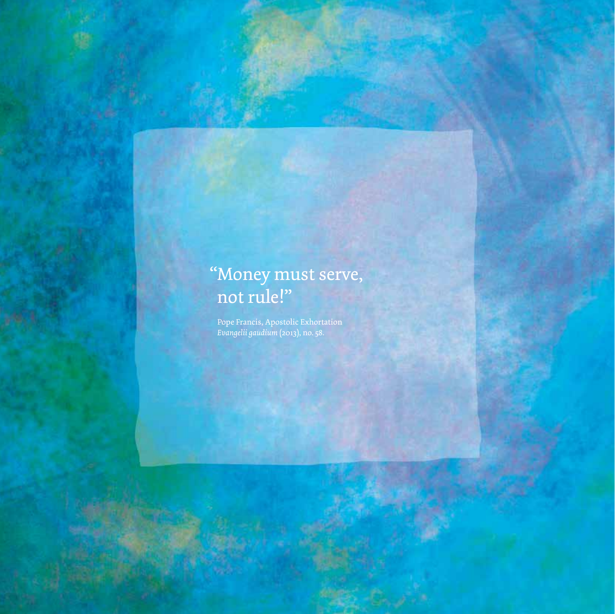### "Money must serve, not rule!"

 Pope Francis, Apostolic Exhortation *Evangelii gaudium* (2013), no. 58.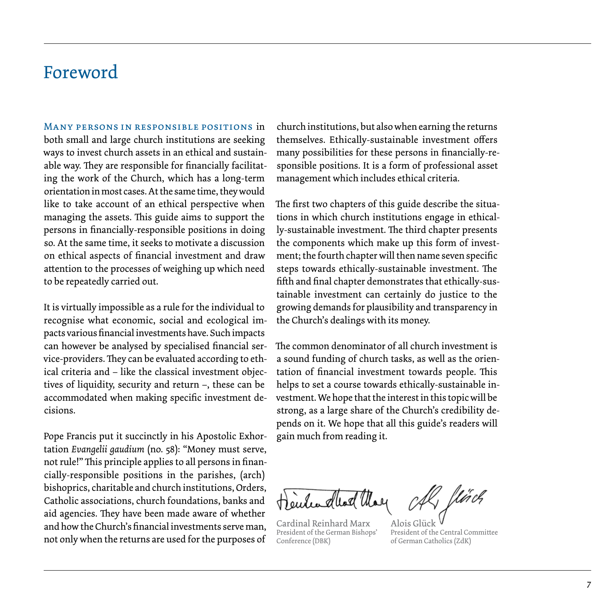### Foreword

Many persons in responsible positions in both small and large church institutions are seeking ways to invest church assets in an ethical and sustainable way. They are responsible for financially facilitating the work of the Church, which has a long-term orientation in most cases. At the same time, they would like to take account of an ethical perspective when managing the assets. This guide aims to support the persons in financially-responsible positions in doing so. At the same time, it seeks to motivate a discussion on ethical aspects of financial investment and draw attention to the processes of weighing up which need to be repeatedly carried out.

It is virtually impossible as a rule for the individual to recognise what economic, social and ecological impacts various financial investments have. Such impacts can however be analysed by specialised financial service-providers. They can be evaluated according to ethical criteria and – like the classical investment objectives of liquidity, security and return –, these can be accommodated when making specific investment decisions.

Pope Francis put it succinctly in his Apostolic Exhortation *Evangelii gaudium* (no. 58): "Money must serve, not rule!" This principle applies to all persons in financially-responsible positions in the parishes, (arch) bishoprics, charitable and church institutions, Orders, Catholic associations, church foundations, banks and aid agencies. They have been made aware of whether and how the Church's financial investments serve man, not only when the returns are used for the purposes of

church institutions, but also when earning the returns themselves. Ethically-sustainable investment offers many possibilities for these persons in financially-responsible positions. It is a form of professional asset management which includes ethical criteria.

The first two chapters of this guide describe the situations in which church institutions engage in ethically-sustainable investment. The third chapter presents the components which make up this form of investment; the fourth chapter will then name seven specific steps towards ethically-sustainable investment. The fifth and final chapter demonstrates that ethically-sustainable investment can certainly do justice to the growing demands for plausibility and transparency in the Church's dealings with its money.

The common denominator of all church investment is a sound funding of church tasks, as well as the orientation of financial investment towards people. This helps to set a course towards ethically-sustainable investment. We hope that the interest in this topic will be strong, as a large share of the Church's credibility depends on it. We hope that all this guide's readers will gain much from reading it.

Cardinal Reinhard Marx President of the German Bishops' Conference (DBK)

Alois Glück President of the Central Committee of German Catholics (ZdK)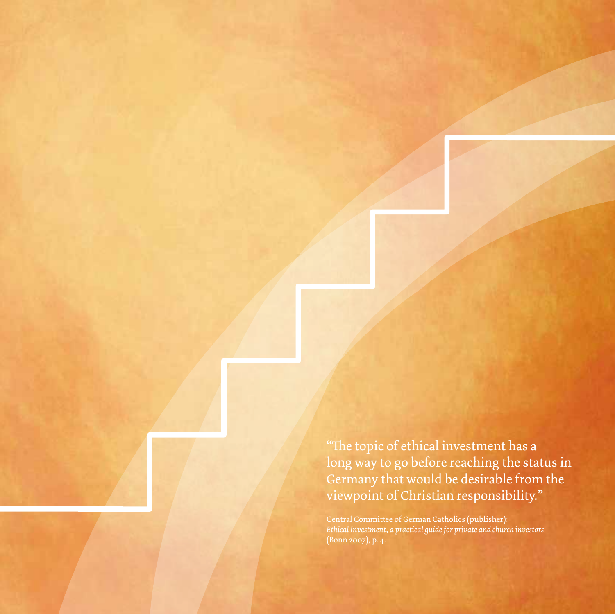"The topic of ethical investment has a long way to go before reaching the status in Germany that would be desirable from the viewpoint of Christian responsibility."

Central Committee of German Catholics (publisher): *Ethical Investment, a practical guide for private and church investors*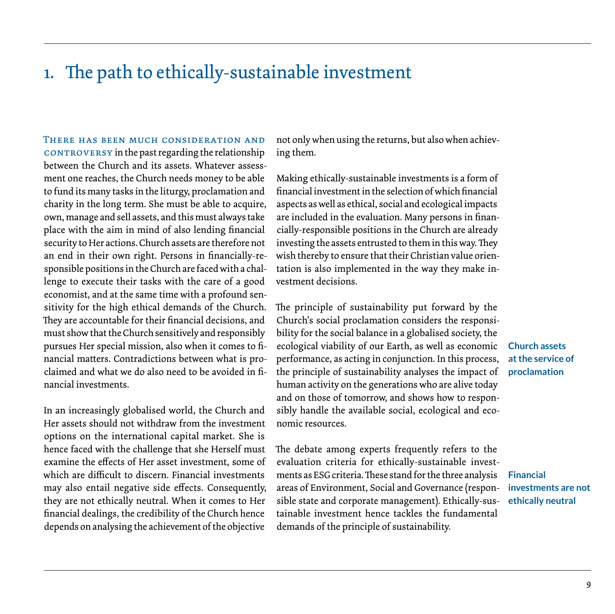### 1. The path to ethically-sustainable investment

THERE HAS BEEN MUCH CONSIDERATION AND controversy in the past regarding the relationship between the Church and its assets. Whatever assessment one reaches, the Church needs money to be able to fund its many tasks in the liturgy, proclamation and charity in the long term. She must be able to acquire, own, manage and sell assets, and this must always take place with the aim in mind of also lending financial security to Her actions. Church assets are therefore not an end in their own right. Persons in financially-responsible positions in the Church are faced with a challenge to execute their tasks with the care of a good economist, and at the same time with a profound sensitivity for the high ethical demands of the Church. They are accountable for their financial decisions, and must show that the Church sensitively and responsibly pursues Her special mission, also when it comes to financial matters. Contradictions between what is proclaimed and what we do also need to be avoided in financial investments.

In an increasingly globalised world, the Church and Her assets should not withdraw from the investment options on the international capital market. She is hence faced with the challenge that she Herself must examine the effects of Her asset investment, some of which are difficult to discern. Financial investments may also entail negative side effects. Consequently, they are not ethically neutral. When it comes to Her financial dealings, the credibility of the Church hence depends on analysing the achievement of the objective

not only when using the returns, but also when achieving them.

Making ethically-sustainable investments is a form of financial investment in the selection of which financial aspects as well as ethical, social and ecological impacts are included in the evaluation. Many persons in financially-responsible positions in the Church are already investing the assets entrusted to them in this way. They wish thereby to ensure that their Christian value orientation is also implemented in the way they make investment decisions.

The principle of sustainability put forward by the Church's social proclamation considers the responsibility for the social balance in a globalised society, the ecological viability of our Earth, as well as economic performance, as acting in conjunction. In this process, the principle of sustainability analyses the impact of human activity on the generations who are alive today and on those of tomorrow, and shows how to responsibly handle the available social, ecological and economic resources.

The debate among experts frequently refers to the evaluation criteria for ethically-sustainable investments as ESG criteria. These stand for the three analysis areas of Environment, Social and Governance (responsible state and corporate management). Ethically-sustainable investment hence tackles the fundamental demands of the principle of sustainability.

**Church assets at the service of proclamation**

**Financial investments are not ethically neutral**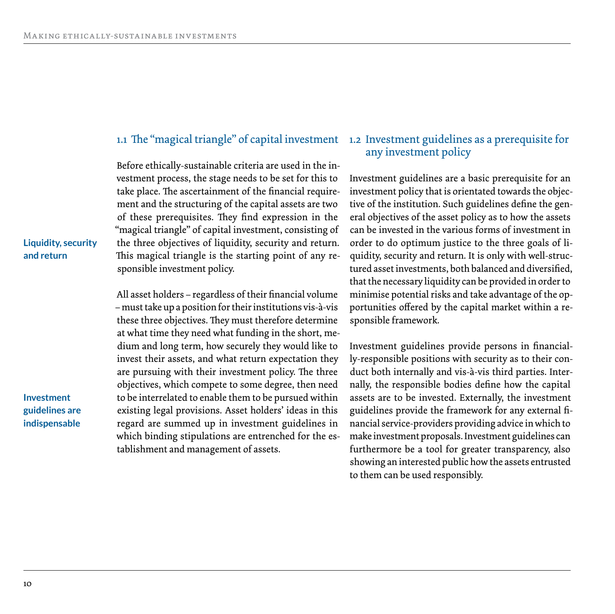Before ethically-sustainable criteria are used in the investment process, the stage needs to be set for this to take place. The ascertainment of the financial requirement and the structuring of the capital assets are two of these prerequisites. They find expression in the "magical triangle" of capital investment, consisting of the three objectives of liquidity, security and return. This magical triangle is the starting point of any responsible investment policy.

All asset holders – regardless of their financial volume – must take up a position for their institutions vis-à-vis these three objectives. They must therefore determine at what time they need what funding in the short, medium and long term, how securely they would like to invest their assets, and what return expectation they are pursuing with their investment policy. The three objectives, which compete to some degree, then need to be interrelated to enable them to be pursued within existing legal provisions. Asset holders' ideas in this regard are summed up in investment guidelines in which binding stipulations are entrenched for the establishment and management of assets.

#### 1.1 The "magical triangle" of capital investment 1.2 Investment guidelines as a prerequisite for any investment policy

Investment guidelines are a basic prerequisite for an investment policy that is orientated towards the objective of the institution. Such guidelines define the general objectives of the asset policy as to how the assets can be invested in the various forms of investment in order to do optimum justice to the three goals of liquidity, security and return. It is only with well-structured asset investments, both balanced and diversified, that the necessary liquidity can be provided in order to minimise potential risks and take advantage of the opportunities offered by the capital market within a responsible framework.

Investment guidelines provide persons in financially-responsible positions with security as to their conduct both internally and vis-à-vis third parties. Internally, the responsible bodies define how the capital assets are to be invested. Externally, the investment guidelines provide the framework for any external financial service-providers providing advice in which to make investment proposals. Investment guidelines can furthermore be a tool for greater transparency, also showing an interested public how the assets entrusted to them can be used responsibly.

#### **Liquidity, security and return**

**Investment guidelines are indispensable**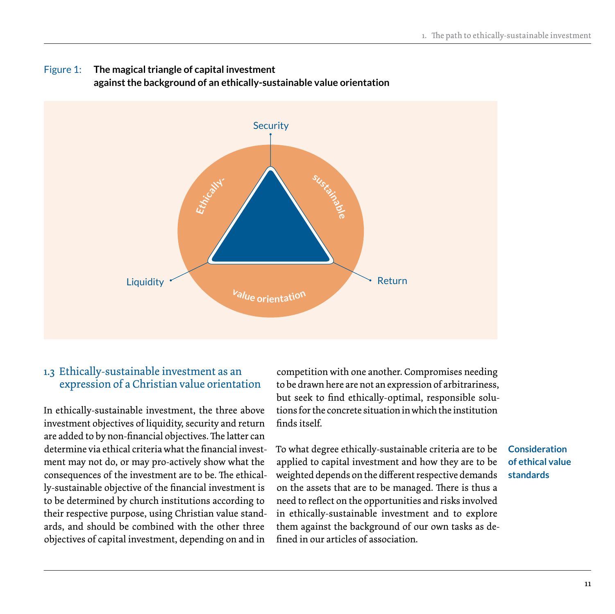

#### Figure 1: **The magical triangle of capital investment against the background of an ethically-sustainable value orientation**

#### 1.3 Ethically-sustainable investment as an expression of a Christian value orientation

In ethically-sustainable investment, the three above investment objectives of liquidity, security and return are added to by non-financial objectives. The latter can determine via ethical criteria what the financial investment may not do, or may pro-actively show what the consequences of the investment are to be. The ethically-sustainable objective of the financial investment is to be determined by church institutions according to their respective purpose, using Christian value standards, and should be combined with the other three objectives of capital investment, depending on and in

competition with one another. Compromises needing to be drawn here are not an expression of arbitrariness, but seek to find ethically-optimal, responsible solutions for the concrete situation in which the institution finds itself.

To what degree ethically-sustainable criteria are to be applied to capital investment and how they are to be weighted depends on the different respective demands on the assets that are to be managed. There is thus a need to reflect on the opportunities and risks involved in ethically-sustainable investment and to explore them against the background of our own tasks as defined in our articles of association.

#### **Consideration of ethical value standards**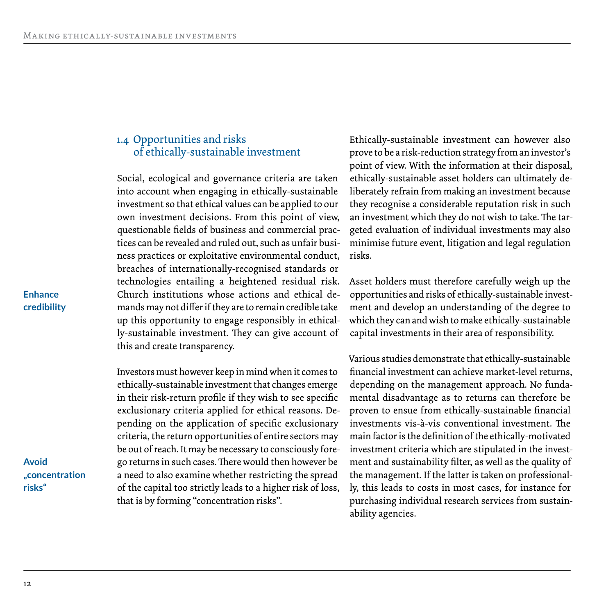#### 1.4 Opportunities and risks of ethically-sustainable investment

Social, ecological and governance criteria are taken into account when engaging in ethically-sustainable investment so that ethical values can be applied to our own investment decisions. From this point of view, questionable fields of business and commercial practices can be revealed and ruled out, such as unfair business practices or exploitative environmental conduct, breaches of internationally-recognised standards or technologies entailing a heightened residual risk. Church institutions whose actions and ethical demands may not differ if they are to remain credible take up this opportunity to engage responsibly in ethically-sustainable investment. They can give account of this and create transparency.

Investors must however keep in mind when it comes to ethically-sustainable investment that changes emerge in their risk-return profile if they wish to see specific exclusionary criteria applied for ethical reasons. Depending on the application of specific exclusionary criteria, the return opportunities of entire sectors may be out of reach. It may be necessary to consciously forego returns in such cases. There would then however be a need to also examine whether restricting the spread of the capital too strictly leads to a higher risk of loss, that is by forming "concentration risks".

Ethically-sustainable investment can however also prove to be a risk-reduction strategy from an investor's point of view. With the information at their disposal, ethically-sustainable asset holders can ultimately deliberately refrain from making an investment because they recognise a considerable reputation risk in such an investment which they do not wish to take. The targeted evaluation of individual investments may also minimise future event, litigation and legal regulation risks.

Asset holders must therefore carefully weigh up the opportunities and risks of ethically-sustainable investment and develop an understanding of the degree to which they can and wish to make ethically-sustainable capital investments in their area of responsibility.

Various studies demonstrate that ethically-sustainable financial investment can achieve market-level returns, depending on the management approach. No fundamental disadvantage as to returns can therefore be proven to ensue from ethically-sustainable financial investments vis-à-vis conventional investment. The main factor is the definition of the ethically-motivated investment criteria which are stipulated in the investment and sustainability filter, as well as the quality of the management. If the latter is taken on professionally, this leads to costs in most cases, for instance for purchasing individual research services from sustainability agencies.

**Enhance credibility**

**Avoid "concentration risks"**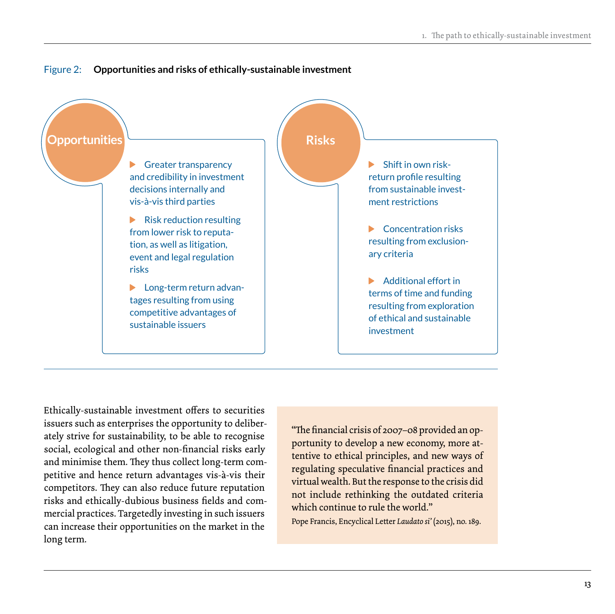

#### Figure 2: **Opportunities and risks of ethically-sustainable investment**

Ethically-sustainable investment offers to securities issuers such as enterprises the opportunity to deliberately strive for sustainability, to be able to recognise social, ecological and other non-financial risks early and minimise them. They thus collect long-term competitive and hence return advantages vis-à-vis their competitors. They can also reduce future reputation risks and ethically-dubious business fields and commercial practices. Targetedly investing in such issuers can increase their opportunities on the market in the long term.

"The financial crisis of 2007–08 provided an opportunity to develop a new economy, more attentive to ethical principles, and new ways of regulating speculative financial practices and virtual wealth. But the response to the crisis did not include rethinking the outdated criteria which continue to rule the world."

Pope Francis, Encyclical Letter *Laudato si'* (2015), no. 189.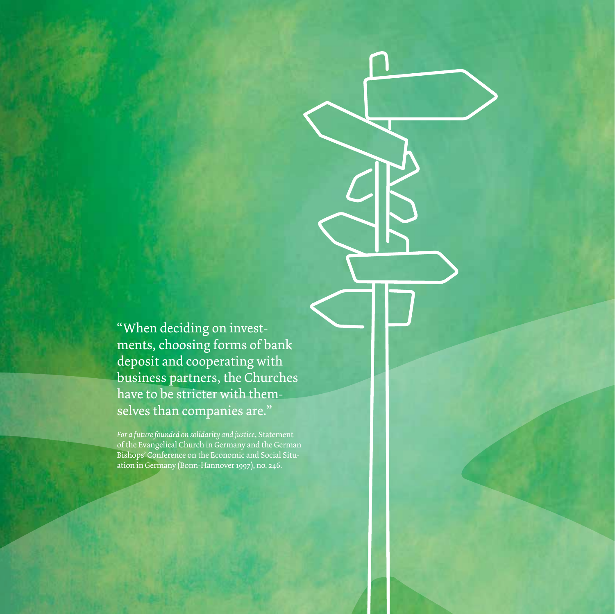"When deciding on investments, choosing forms of bank deposit and cooperating with business partners, the Churches have to be stricter with themselves than companies are."

*For a future founded on solidarity and justice,* Statement of the Evangelical Church in Germany and the German Bishops' Conference on the Economic and Social Situation in Germany (Bonn-Hannover 1997), no. 246.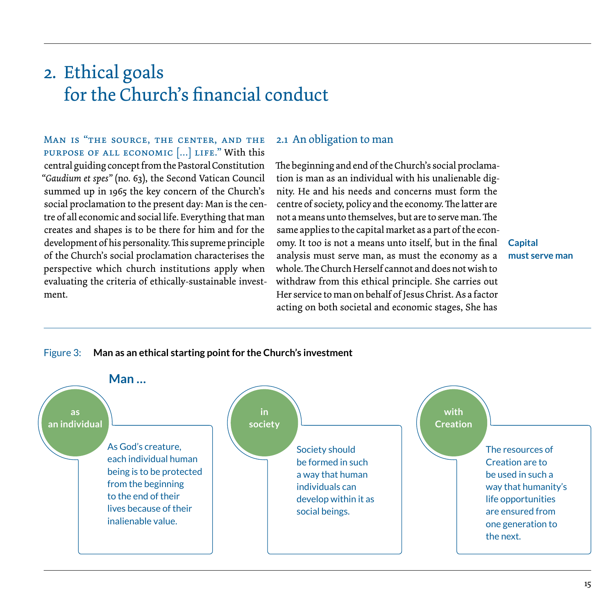### 2. Ethical goals for the Church's financial conduct

Man is "the source, the center, and the purpose of all economic […] life." With this central guiding concept from the Pastoral Constitution *"Gaudium et spes"* (no. 63), the Second Vatican Council summed up in 1965 the key concern of the Church's social proclamation to the present day: Man is the centre of all economic and social life. Everything that man creates and shapes is to be there for him and for the development of his personality. This supreme principle of the Church's social proclamation characterises the perspective which church institutions apply when evaluating the criteria of ethically-sustainable investment.

#### 2.1 An obligation to man

The beginning and end of the Church's social proclamation is man as an individual with his unalienable dignity. He and his needs and concerns must form the centre of society, policy and the economy. The latter are not a means unto themselves, but are to serve man. The same applies to the capital market as a part of the economy. It too is not a means unto itself, but in the final analysis must serve man, as must the economy as a whole. The Church Herself cannot and does not wish to withdraw from this ethical principle. She carries out Her service to man on behalf of Jesus Christ. As a factor acting on both societal and economic stages, She has

#### **Capital must serve man**

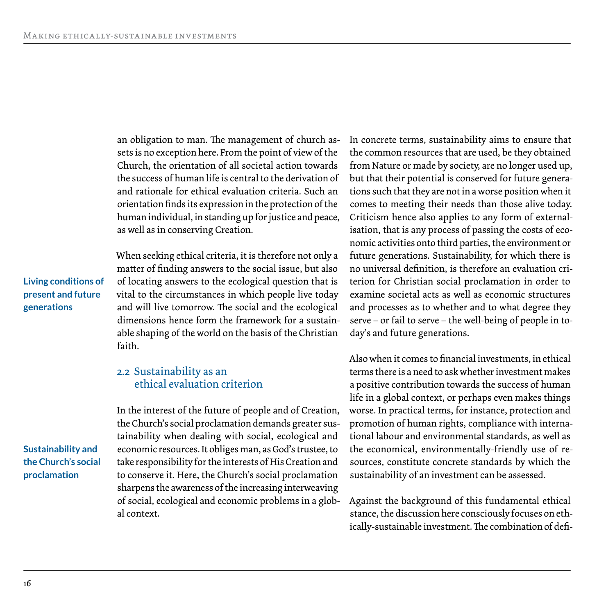an obligation to man. The management of church assets is no exception here. From the point of view of the Church, the orientation of all societal action towards the success of human life is central to the derivation of and rationale for ethical evaluation criteria. Such an orientation finds its expression in the protection of the human individual, in standing up for justice and peace, as well as in conserving Creation.

When seeking ethical criteria, it is therefore not only a matter of finding answers to the social issue, but also of locating answers to the ecological question that is vital to the circumstances in which people live today and will live tomorrow. The social and the ecological dimensions hence form the framework for a sustainable shaping of the world on the basis of the Christian faith.

#### 2.2 Sustainability as an ethical evaluation criterion

In the interest of the future of people and of Creation, the Church's social proclamation demands greater sustainability when dealing with social, ecological and economic resources. It obliges man, as God's trustee, to take responsibility for the interests of His Creation and to conserve it. Here, the Church's social proclamation sharpens the awareness of the increasing interweaving of social, ecological and economic problems in a global context.

In concrete terms, sustainability aims to ensure that the common resources that are used, be they obtained from Nature or made by society, are no longer used up, but that their potential is conserved for future generations such that they are not in a worse position when it comes to meeting their needs than those alive today. Criticism hence also applies to any form of externalisation, that is any process of passing the costs of economic activities onto third parties, the environment or future generations. Sustainability, for which there is no universal definition, is therefore an evaluation criterion for Christian social proclamation in order to examine societal acts as well as economic structures and processes as to whether and to what degree they serve – or fail to serve – the well-being of people in today's and future generations.

Also when it comes to financial investments, in ethical terms there is a need to ask whether investment makes a positive contribution towards the success of human life in a global context, or perhaps even makes things worse. In practical terms, for instance, protection and promotion of human rights, compliance with international labour and environmental standards, as well as the economical, environmentally-friendly use of resources, constitute concrete standards by which the sustainability of an investment can be assessed.

Against the background of this fundamental ethical stance, the discussion here consciously focuses on ethically-sustainable investment. The combination of defi-

**Living conditions of present and future generations**

#### **Sustainability and the Church's social proclamation**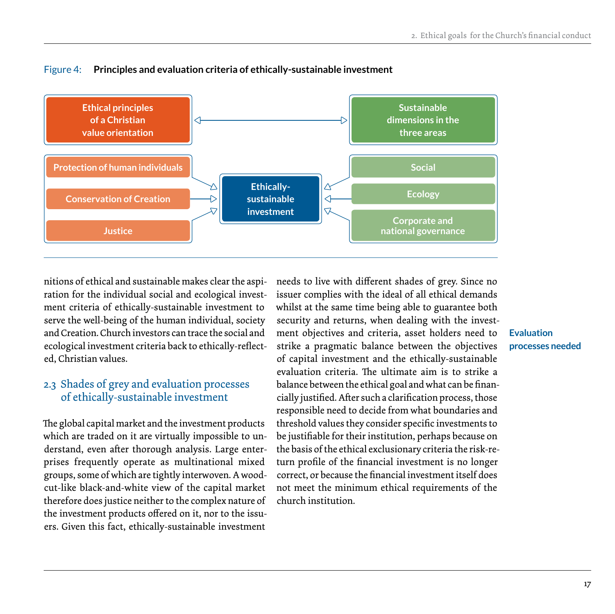

#### Figure 4: **Principles and evaluation criteria of ethically-sustainable investment**

nitions of ethical and sustainable makes clear the aspiration for the individual social and ecological investment criteria of ethically-sustainable investment to serve the well-being of the human individual, society and Creation. Church investors can trace the social and ecological investment criteria back to ethically-reflected, Christian values.

#### 2.3 Shades of grey and evaluation processes of ethically-sustainable investment

The global capital market and the investment products which are traded on it are virtually impossible to understand, even after thorough analysis. Large enterprises frequently operate as multinational mixed groups, some of which are tightly interwoven. A woodcut-like black-and-white view of the capital market therefore does justice neither to the complex nature of the investment products offered on it, nor to the issuers. Given this fact, ethically-sustainable investment

needs to live with different shades of grey. Since no issuer complies with the ideal of all ethical demands whilst at the same time being able to guarantee both security and returns, when dealing with the investment objectives and criteria, asset holders need to strike a pragmatic balance between the objectives of capital investment and the ethically-sustainable evaluation criteria. The ultimate aim is to strike a balance between the ethical goal and what can be financially justified. After such a clarification process, those responsible need to decide from what boundaries and threshold values they consider specific investments to be justifiable for their institution, perhaps because on the basis of the ethical exclusionary criteria the risk-return profile of the financial investment is no longer correct, or because the financial investment itself does not meet the minimum ethical requirements of the church institution.

#### **Evaluation processes needed**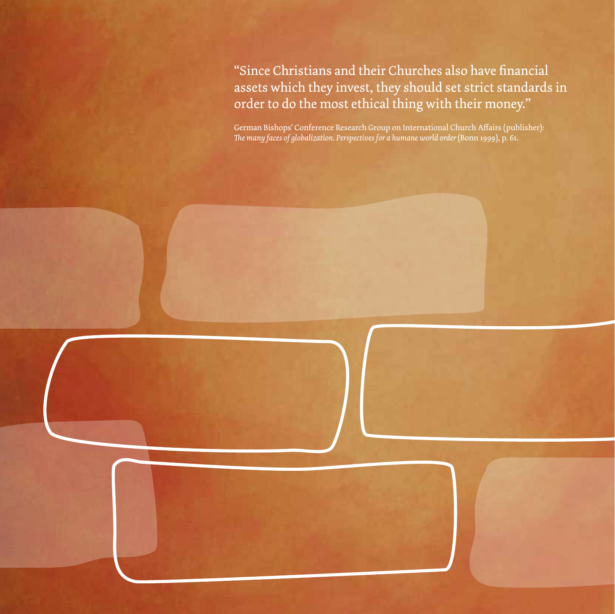"Since Christians and their Churches also have financial assets which they invest, they should set strict standards in order to do the most ethical thing with their money."

German Bishops' Conference Research Group on International Church Affairs (publisher): *The many faces of globalization. Perspectives for a humane world order* (Bonn 1999), p. 61.

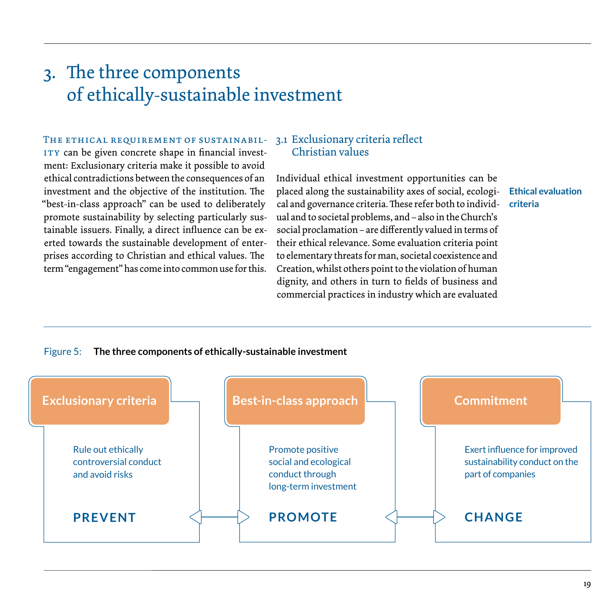### 3. The three components of ethically-sustainable investment

#### THE ETHICAL REQUIREMENT OF SUSTAINABIL-

ITY can be given concrete shape in financial investment: Exclusionary criteria make it possible to avoid ethical contradictions between the consequences of an investment and the objective of the institution. The "best-in-class approach" can be used to deliberately promote sustainability by selecting particularly sustainable issuers. Finally, a direct influence can be exerted towards the sustainable development of enterprises according to Christian and ethical values. The term "engagement" has come into common use for this.

#### 3.1 Exclusionary criteria reflect Christian values

Individual ethical investment opportunities can be placed along the sustainability axes of social, ecological and governance criteria. These refer both to individual and to societal problems, and – also in the Church's social proclamation – are differently valued in terms of their ethical relevance. Some evaluation criteria point to elementary threats for man, societal coexistence and Creation, whilst others point to the violation of human dignity, and others in turn to fields of business and commercial practices in industry which are evaluated

#### **Ethical evaluation criteria**

#### Figure 5: **The three components of ethically-sustainable investment**

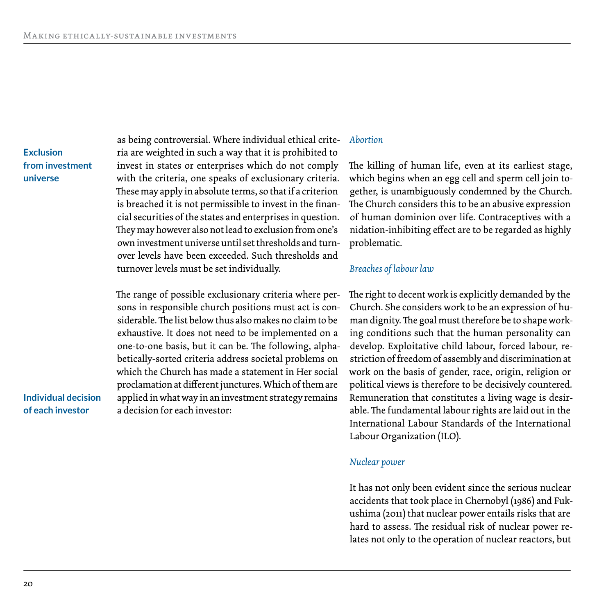#### **Exclusion from investment universe**

as being controversial. Where individual ethical criteria are weighted in such a way that it is prohibited to invest in states or enterprises which do not comply with the criteria, one speaks of exclusionary criteria. These may apply in absolute terms, so that if a criterion is breached it is not permissible to invest in the financial securities of the states and enterprises in question. They may however also not lead to exclusion from one's own investment universe until set thresholds and turnover levels have been exceeded. Such thresholds and turnover levels must be set individually.

The range of possible exclusionary criteria where persons in responsible church positions must act is considerable. The list below thus also makes no claim to be exhaustive. It does not need to be implemented on a one-to-one basis, but it can be. The following, alphabetically-sorted criteria address societal problems on which the Church has made a statement in Her social proclamation at different junctures. Which of them are applied in what way in an investment strategy remains a decision for each investor:

**Individual decision of each investor**

#### *Abortion*

The killing of human life, even at its earliest stage, which begins when an egg cell and sperm cell join together, is unambiguously condemned by the Church. The Church considers this to be an abusive expression of human dominion over life. Contraceptives with a nidation-inhibiting effect are to be regarded as highly problematic.

#### *Breaches of labour law*

The right to decent work is explicitly demanded by the Church. She considers work to be an expression of human dignity. The goal must therefore be to shape working conditions such that the human personality can develop. Exploitative child labour, forced labour, restriction of freedom of assembly and discrimination at work on the basis of gender, race, origin, religion or political views is therefore to be decisively countered. Remuneration that constitutes a living wage is desirable. The fundamental labour rights are laid out in the International Labour Standards of the International Labour Organization (ILO).

#### *Nuclear power*

It has not only been evident since the serious nuclear accidents that took place in Chernobyl (1986) and Fukushima (2011) that nuclear power entails risks that are hard to assess. The residual risk of nuclear power relates not only to the operation of nuclear reactors, but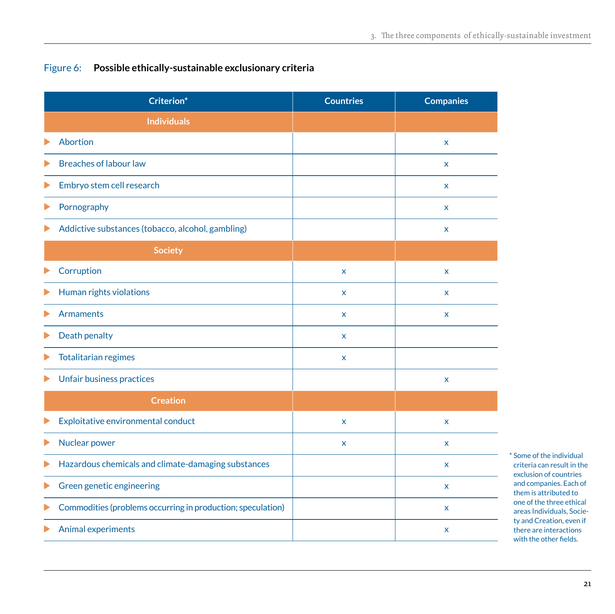#### Figure 6: **Possible ethically-sustainable exclusionary criteria**

| Criterion*                                                  | <b>Countries</b> | <b>Companies</b> |
|-------------------------------------------------------------|------------------|------------------|
| <b>Individuals</b>                                          |                  |                  |
| Abortion                                                    |                  | X                |
| <b>Breaches of labour law</b>                               |                  | X                |
| Embryo stem cell research                                   |                  | X                |
| Pornography                                                 |                  | X                |
| Addictive substances (tobacco, alcohol, gambling)           |                  | X                |
| <b>Society</b>                                              |                  |                  |
| Corruption                                                  | $\mathsf{x}$     | $\pmb{\times}$   |
| Human rights violations                                     | X                | X                |
| <b>Armaments</b>                                            | $\pmb{\times}$   | X                |
| Death penalty                                               | X                |                  |
| <b>Totalitarian regimes</b>                                 | $\pmb{\times}$   |                  |
| Unfair business practices                                   |                  | $\pmb{\times}$   |
| <b>Creation</b>                                             |                  |                  |
| Exploitative environmental conduct                          | $\pmb{\times}$   | $\pmb{\times}$   |
| Nuclear power                                               | X                | X                |
| Hazardous chemicals and climate-damaging substances         |                  | X                |
| Green genetic engineering                                   |                  | X                |
| Commodities (problems occurring in production; speculation) |                  | X                |
| Animal experiments                                          |                  | X                |

\* Some of the individual criteria can result in the exclusion of countries and companies. Each of them is attributed to one of the three ethical areas Individuals, Society and Creation, even if there are interactions with the other fields.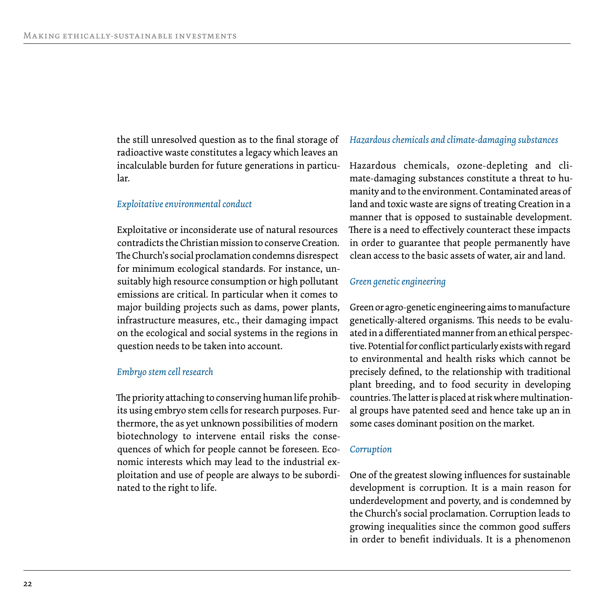the still unresolved question as to the final storage of radioactive waste constitutes a legacy which leaves an incalculable burden for future generations in particular.

#### *Exploitative environmental conduct*

Exploitative or inconsiderate use of natural resources contradicts the Christian mission to conserve Creation. The Church's social proclamation condemns disrespect for minimum ecological standards. For instance, unsuitably high resource consumption or high pollutant emissions are critical. In particular when it comes to major building projects such as dams, power plants, infrastructure measures, etc., their damaging impact on the ecological and social systems in the regions in question needs to be taken into account.

#### *Embryo stem cell research*

The priority attaching to conserving human life prohibits using embryo stem cells for research purposes. Furthermore, the as yet unknown possibilities of modern biotechnology to intervene entail risks the consequences of which for people cannot be foreseen. Economic interests which may lead to the industrial exploitation and use of people are always to be subordinated to the right to life.

#### *Hazardous chemicals and climate-damaging substances*

Hazardous chemicals, ozone-depleting and climate-damaging substances constitute a threat to humanity and to the environment. Contaminated areas of land and toxic waste are signs of treating Creation in a manner that is opposed to sustainable development. There is a need to effectively counteract these impacts in order to guarantee that people permanently have clean access to the basic assets of water, air and land.

#### *Green genetic engineering*

Green or agro-genetic engineering aims to manufacture genetically-altered organisms. This needs to be evaluated in a differentiated manner from an ethical perspective. Potential for conflict particularly exists with regard to environmental and health risks which cannot be precisely defined, to the relationship with traditional plant breeding, and to food security in developing countries. The latter is placed at risk where multinational groups have patented seed and hence take up an in some cases dominant position on the market.

#### *Corruption*

One of the greatest slowing influences for sustainable development is corruption. It is a main reason for underdevelopment and poverty, and is condemned by the Church's social proclamation. Corruption leads to growing inequalities since the common good suffers in order to benefit individuals. It is a phenomenon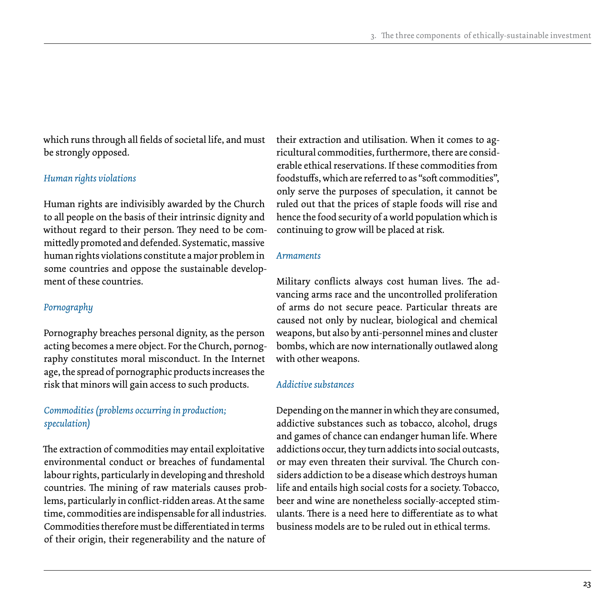which runs through all fields of societal life, and must be strongly opposed.

#### *Human rights violations*

Human rights are indivisibly awarded by the Church to all people on the basis of their intrinsic dignity and without regard to their person. They need to be committedly promoted and defended. Systematic, massive human rights violations constitute a major problem in some countries and oppose the sustainable development of these countries.

#### *Pornography*

Pornography breaches personal dignity, as the person acting becomes a mere object. For the Church, pornography constitutes moral misconduct. In the Internet age, the spread of pornographic products increases the risk that minors will gain access to such products.

#### *Commodities (problems occurring in production; speculation)*

The extraction of commodities may entail exploitative environmental conduct or breaches of fundamental labour rights, particularly in developing and threshold countries. The mining of raw materials causes problems, particularly in conflict-ridden areas. At the same time, commodities are indispensable for all industries. Commodities therefore must be differentiated in terms of their origin, their regenerability and the nature of their extraction and utilisation. When it comes to agricultural commodities, furthermore, there are considerable ethical reservations. If these commodities from foodstuffs, which are referred to as "soft commodities", only serve the purposes of speculation, it cannot be ruled out that the prices of staple foods will rise and hence the food security of a world population which is continuing to grow will be placed at risk.

#### *Armaments*

Military conflicts always cost human lives. The advancing arms race and the uncontrolled proliferation of arms do not secure peace. Particular threats are caused not only by nuclear, biological and chemical weapons, but also by anti-personnel mines and cluster bombs, which are now internationally outlawed along with other weapons.

#### *Addictive substances*

Depending on the manner in which they are consumed, addictive substances such as tobacco, alcohol, drugs and games of chance can endanger human life. Where addictions occur, they turn addicts into social outcasts, or may even threaten their survival. The Church considers addiction to be a disease which destroys human life and entails high social costs for a society. Tobacco, beer and wine are nonetheless socially-accepted stimulants. There is a need here to differentiate as to what business models are to be ruled out in ethical terms.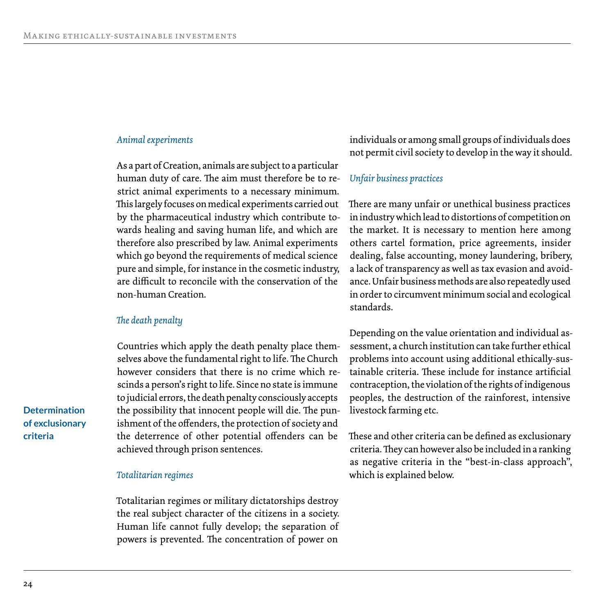#### *Animal experiments*

As a part of Creation, animals are subject to a particular human duty of care. The aim must therefore be to restrict animal experiments to a necessary minimum. This largely focuses on medical experiments carried out by the pharmaceutical industry which contribute towards healing and saving human life, and which are therefore also prescribed by law. Animal experiments which go beyond the requirements of medical science pure and simple, for instance in the cosmetic industry, are difficult to reconcile with the conservation of the non-human Creation.

#### *The death penalty*

Countries which apply the death penalty place themselves above the fundamental right to life. The Church however considers that there is no crime which rescinds a person's right to life. Since no state is immune to judicial errors, the death penalty consciously accepts the possibility that innocent people will die. The punishment of the offenders, the protection of society and the deterrence of other potential offenders can be achieved through prison sentences.

#### *Totalitarian regimes*

Totalitarian regimes or military dictatorships destroy the real subject character of the citizens in a society. Human life cannot fully develop; the separation of powers is prevented. The concentration of power on

individuals or among small groups of individuals does not permit civil society to develop in the way it should.

#### *Unfair business practices*

There are many unfair or unethical business practices in industry which lead to distortions of competition on the market. It is necessary to mention here among others cartel formation, price agreements, insider dealing, false accounting, money laundering, bribery, a lack of transparency as well as tax evasion and avoidance. Unfair business methods are also repeatedly used in order to circumvent minimum social and ecological standards.

Depending on the value orientation and individual assessment, a church institution can take further ethical problems into account using additional ethically-sustainable criteria. These include for instance artificial contraception, the violation of the rights of indigenous peoples, the destruction of the rainforest, intensive livestock farming etc.

These and other criteria can be defined as exclusionary criteria. They can however also be included in a ranking as negative criteria in the "best-in-class approach", which is explained below.

**Determination of exclusionary criteria**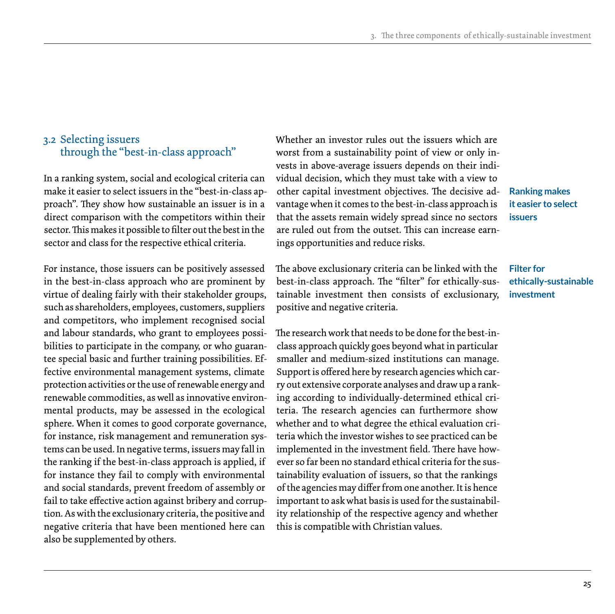### 3.2 Selecting issuers through the "best-in-class approach"

In a ranking system, social and ecological criteria can make it easier to select issuers in the "best-in-class approach". They show how sustainable an issuer is in a direct comparison with the competitors within their sector. This makes it possible to filter out the best in the sector and class for the respective ethical criteria.

For instance, those issuers can be positively assessed in the best-in-class approach who are prominent by virtue of dealing fairly with their stakeholder groups, such as shareholders, employees, customers, suppliers and competitors, who implement recognised social and labour standards, who grant to employees possibilities to participate in the company, or who guarantee special basic and further training possibilities. Effective environmental management systems, climate protection activities or the use of renewable energy and renewable commodities, as well as innovative environmental products, may be assessed in the ecological sphere. When it comes to good corporate governance, for instance, risk management and remuneration systems can be used. In negative terms, issuers may fall in the ranking if the best-in-class approach is applied, if for instance they fail to comply with environmental and social standards, prevent freedom of assembly or fail to take effective action against bribery and corruption. As with the exclusionary criteria, the positive and negative criteria that have been mentioned here can also be supplemented by others.

Whether an investor rules out the issuers which are worst from a sustainability point of view or only invests in above-average issuers depends on their individual decision, which they must take with a view to other capital investment objectives. The decisive advantage when it comes to the best-in-class approach is that the assets remain widely spread since no sectors are ruled out from the outset. This can increase earnings opportunities and reduce risks.

The above exclusionary criteria can be linked with the best-in-class approach. The "filter" for ethically-sustainable investment then consists of exclusionary, positive and negative criteria.

The research work that needs to be done for the best-inclass approach quickly goes beyond what in particular smaller and medium-sized institutions can manage. Support is offered here by research agencies which carry out extensive corporate analyses and draw up a ranking according to individually-determined ethical criteria. The research agencies can furthermore show whether and to what degree the ethical evaluation criteria which the investor wishes to see practiced can be implemented in the investment field. There have however so far been no standard ethical criteria for the sustainability evaluation of issuers, so that the rankings of the agencies may differ from one another. It is hence important to ask what basis is used for the sustainability relationship of the respective agency and whether this is compatible with Christian values.

**Ranking makes it easier to select issuers**

**Filter for ethically-sustainable investment**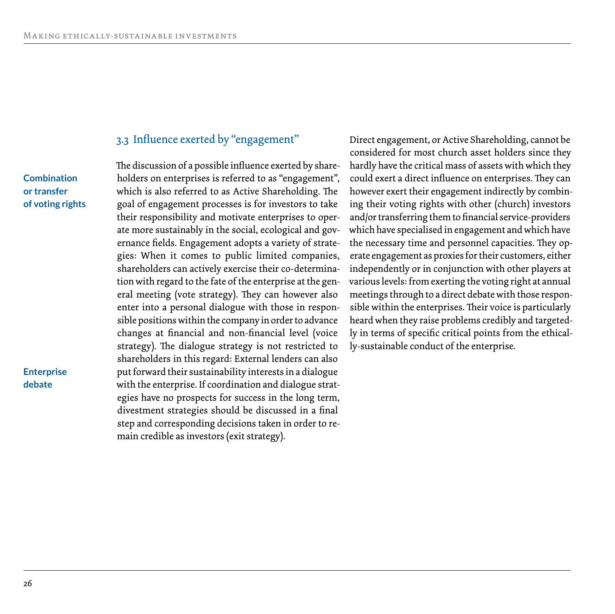#### 3.3 Influence exerted by "engagement"

**Combination or transfer of voting rights**

**Enterprise debate**

The discussion of a possible influence exerted by shareholders on enterprises is referred to as "engagement", which is also referred to as Active Shareholding. The goal of engagement processes is for investors to take their responsibility and motivate enterprises to operate more sustainably in the social, ecological and governance fields. Engagement adopts a variety of strategies: When it comes to public limited companies, shareholders can actively exercise their co-determination with regard to the fate of the enterprise at the general meeting (vote strategy). They can however also enter into a personal dialogue with those in responsible positions within the company in order to advance changes at financial and non-financial level (voice strategy). The dialogue strategy is not restricted to shareholders in this regard: External lenders can also put forward their sustainability interests in a dialogue with the enterprise. If coordination and dialogue strategies have no prospects for success in the long term, divestment strategies should be discussed in a final step and corresponding decisions taken in order to remain credible as investors (exit strategy).

Direct engagement, or Active Shareholding, cannot be considered for most church asset holders since they hardly have the critical mass of assets with which they could exert a direct influence on enterprises. They can however exert their engagement indirectly by combining their voting rights with other (church) investors and/or transferring them to financial service-providers which have specialised in engagement and which have the necessary time and personnel capacities. They operate engagement as proxies for their customers, either independently or in conjunction with other players at various levels: from exerting the voting right at annual meetings through to a direct debate with those responsible within the enterprises. Their voice is particularly heard when they raise problems credibly and targetedly in terms of specific critical points from the ethically-sustainable conduct of the enterprise.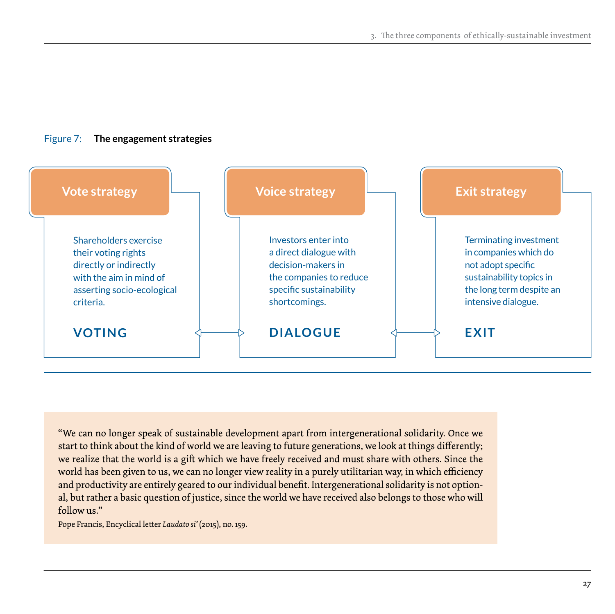#### Figure 7: **The engagement strategies**



"We can no longer speak of sustainable development apart from intergenerational solidarity. Once we start to think about the kind of world we are leaving to future generations, we look at things differently; we realize that the world is a gift which we have freely received and must share with others. Since the world has been given to us, we can no longer view reality in a purely utilitarian way, in which efficiency and productivity are entirely geared to our individual benefit. Intergenerational solidarity is not optional, but rather a basic question of justice, since the world we have received also belongs to those who will follow us"

Pope Francis, Encyclical letter *Laudato si'* (2015), no. 159.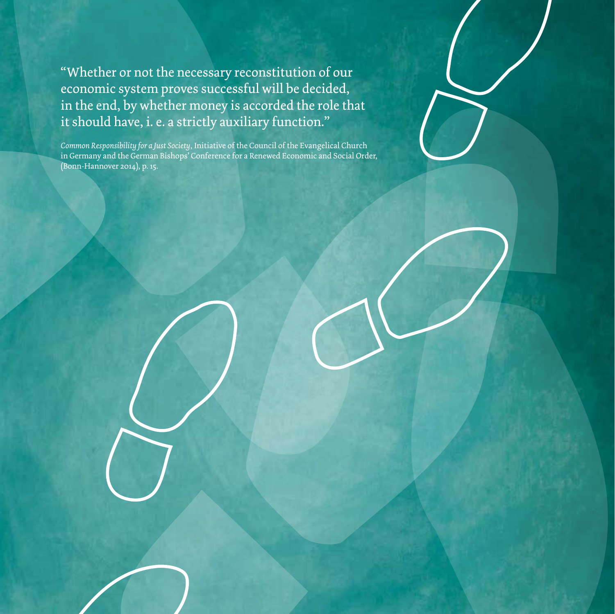"Whether or not the necessary reconstitution of our economic system proves successful will be decided, in the end, by whether money is accorded the role that it should have, i. e. a strictly auxiliary function."

*Common Responsibility for a Just Society,* Initiative of the Council of the Evangelical Church in Germany and the German Bishops' Conference for a Renewed Economic and Social Order, (Bonn-Hannover 2014), p. 15.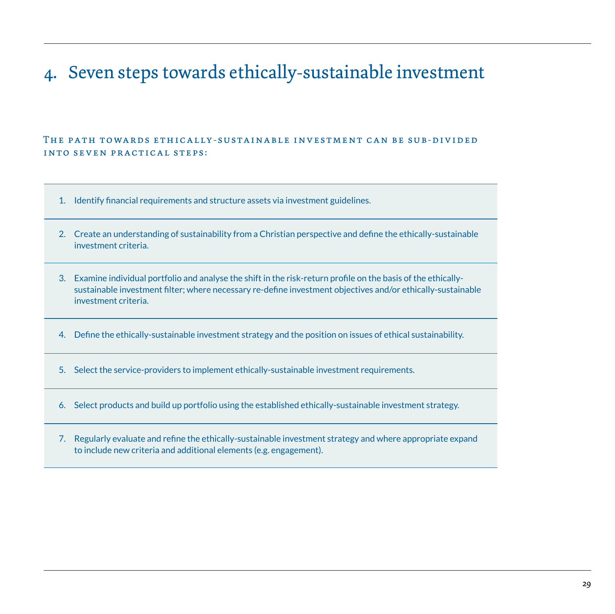### 4. Seven steps towards ethically-sustainable investment

#### The path towards ethically-sustainable investment can be sub-divided into seven practical steps:

- 1. Identify financial requirements and structure assets via investment guidelines.
- 2. Create an understanding of sustainability from a Christian perspective and define the ethically-sustainable investment criteria.
- 3. Examine individual portfolio and analyse the shift in the risk-return profile on the basis of the ethicallysustainable investment filter; where necessary re-define investment objectives and/or ethically-sustainable investment criteria.
- 4. Define the ethically-sustainable investment strategy and the position on issues of ethical sustainability.
- 5. Select the service-providers to implement ethically-sustainable investment requirements.
- 6. Select products and build up portfolio using the established ethically-sustainable investment strategy.
- 7. Regularly evaluate and refine the ethically-sustainable investment strategy and where appropriate expand to include new criteria and additional elements (e.g. engagement).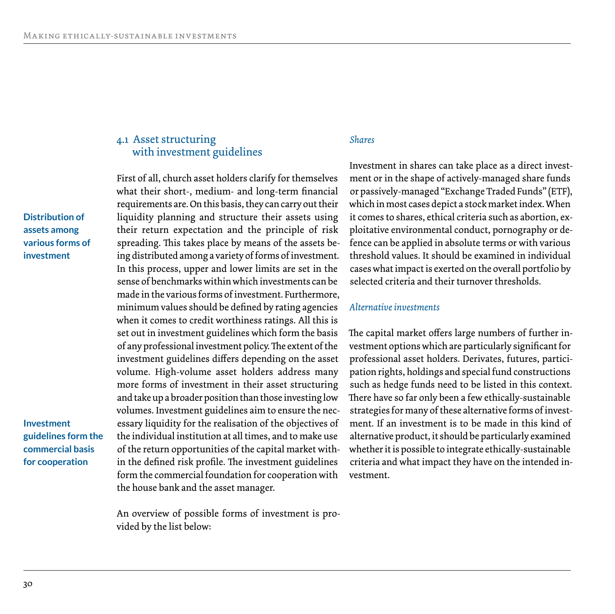#### 4.1 Asset structuring with investment guidelines

#### **Distribution of assets among various forms of investment**

**Investment guidelines form the commercial basis for cooperation**

First of all, church asset holders clarify for themselves what their short-, medium- and long-term financial requirements are. On this basis, they can carry out their liquidity planning and structure their assets using their return expectation and the principle of risk spreading. This takes place by means of the assets being distributed among a variety of forms of investment. In this process, upper and lower limits are set in the sense of benchmarks within which investments can be made in the various forms of investment. Furthermore, minimum values should be defined by rating agencies when it comes to credit worthiness ratings. All this is set out in investment guidelines which form the basis of any professional investment policy. The extent of the investment guidelines differs depending on the asset volume. High-volume asset holders address many more forms of investment in their asset structuring and take up a broader position than those investing low volumes. Investment guidelines aim to ensure the necessary liquidity for the realisation of the objectives of the individual institution at all times, and to make use of the return opportunities of the capital market within the defined risk profile. The investment guidelines form the commercial foundation for cooperation with the house bank and the asset manager.

An overview of possible forms of investment is provided by the list below:

#### *Shares*

Investment in shares can take place as a direct investment or in the shape of actively-managed share funds or passively-managed "Exchange Traded Funds" (ETF), which in most cases depict a stock market index. When it comes to shares, ethical criteria such as abortion, exploitative environmental conduct, pornography or defence can be applied in absolute terms or with various threshold values. It should be examined in individual cases what impact is exerted on the overall portfolio by selected criteria and their turnover thresholds.

#### *Alternative investments*

The capital market offers large numbers of further investment options which are particularly significant for professional asset holders. Derivates, futures, participation rights, holdings and special fund constructions such as hedge funds need to be listed in this context. There have so far only been a few ethically-sustainable strategies for many of these alternative forms of investment. If an investment is to be made in this kind of alternative product, it should be particularly examined whether it is possible to integrate ethically-sustainable criteria and what impact they have on the intended investment.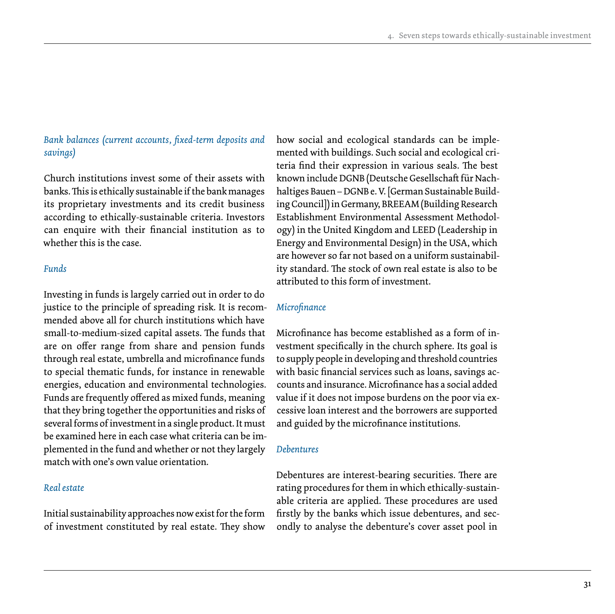#### *Bank balances (current accounts, fixed-term deposits and savings)*

Church institutions invest some of their assets with banks. This is ethically sustainable if the bank manages its proprietary investments and its credit business according to ethically-sustainable criteria. Investors can enquire with their financial institution as to whether this is the case.

#### *Funds*

Investing in funds is largely carried out in order to do justice to the principle of spreading risk. It is recommended above all for church institutions which have small-to-medium-sized capital assets. The funds that are on offer range from share and pension funds through real estate, umbrella and microfinance funds to special thematic funds, for instance in renewable energies, education and environmental technologies. Funds are frequently offered as mixed funds, meaning that they bring together the opportunities and risks of several forms of investment in a single product. It must be examined here in each case what criteria can be implemented in the fund and whether or not they largely match with one's own value orientation.

#### *Real estate*

Initial sustainability approaches now exist for the form of investment constituted by real estate. They show

how social and ecological standards can be implemented with buildings. Such social and ecological criteria find their expression in various seals. The best known include DGNB (Deutsche Gesellschaft für Nachhaltiges Bauen – DGNB e. V. [German Sustainable Building Council]) in Germany, BREEAM (Building Research Establishment Environmental Assessment Methodology) in the United Kingdom and LEED (Leadership in Energy and Environmental Design) in the USA, which are however so far not based on a uniform sustainability standard. The stock of own real estate is also to be attributed to this form of investment.

#### *Microfinance*

Microfinance has become established as a form of investment specifically in the church sphere. Its goal is to supply people in developing and threshold countries with basic financial services such as loans, savings accounts and insurance. Microfinance has a social added value if it does not impose burdens on the poor via excessive loan interest and the borrowers are supported and guided by the microfinance institutions.

#### *Debentures*

Debentures are interest-bearing securities. There are rating procedures for them in which ethically-sustainable criteria are applied. These procedures are used firstly by the banks which issue debentures, and secondly to analyse the debenture's cover asset pool in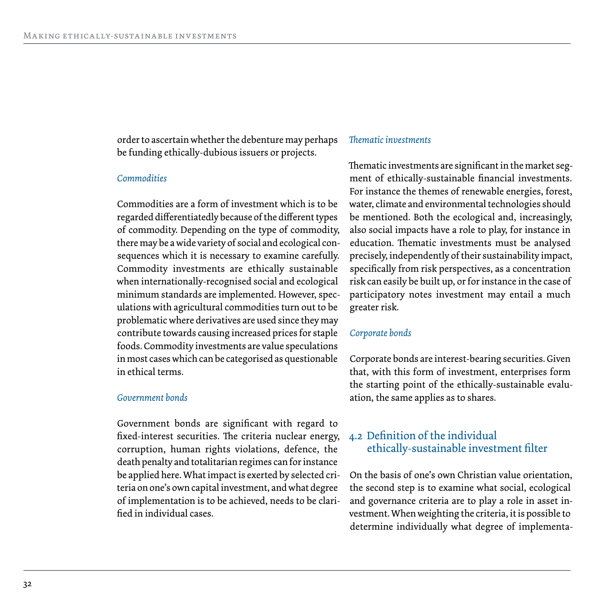order to ascertain whether the debenture may perhaps be funding ethically-dubious issuers or projects.

#### *Commodities*

Commodities are a form of investment which is to be regarded differentiatedly because of the different types of commodity. Depending on the type of commodity, there may be a wide variety of social and ecological consequences which it is necessary to examine carefully. Commodity investments are ethically sustainable when internationally-recognised social and ecological minimum standards are implemented. However, speculations with agricultural commodities turn out to be problematic where derivatives are used since they may contribute towards causing increased prices for staple foods. Commodity investments are value speculations in most cases which can be categorised as questionable in ethical terms.

#### *Government bonds*

Government bonds are significant with regard to fixed-interest securities. The criteria nuclear energy, corruption, human rights violations, defence, the death penalty and totalitarian regimes can for instance be applied here. What impact is exerted by selected criteria on one's own capital investment, and what degree of implementation is to be achieved, needs to be clarified in individual cases.

#### *Thematic investments*

Thematic investments are significant in the market segment of ethically-sustainable financial investments. For instance the themes of renewable energies, forest, water, climate and environmental technologies should be mentioned. Both the ecological and, increasingly, also social impacts have a role to play, for instance in education. Thematic investments must be analysed precisely, independently of their sustainability impact, specifically from risk perspectives, as a concentration risk can easily be built up, or for instance in the case of participatory notes investment may entail a much greater risk.

#### *Corporate bonds*

Corporate bonds are interest-bearing securities. Given that, with this form of investment, enterprises form the starting point of the ethically-sustainable evaluation, the same applies as to shares.

#### 4.2 Definition of the individual ethically-sustainable investment filter

On the basis of one's own Christian value orientation, the second step is to examine what social, ecological and governance criteria are to play a role in asset investment. When weighting the criteria, it is possible to determine individually what degree of implementa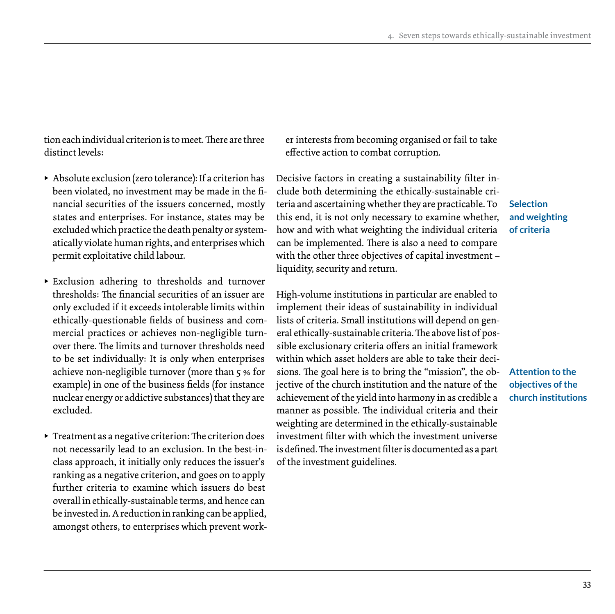tion each individual criterion is to meet. There are three distinct levels:

- { Absolute exclusion (zero tolerance): If a criterion has been violated, no investment may be made in the financial securities of the issuers concerned, mostly states and enterprises. For instance, states may be excluded which practice the death penalty or systematically violate human rights, and enterprises which permit exploitative child labour.
- { Exclusion adhering to thresholds and turnover thresholds: The financial securities of an issuer are only excluded if it exceeds intolerable limits within ethically-questionable fields of business and commercial practices or achieves non-negligible turnover there. The limits and turnover thresholds need to be set individually: It is only when enterprises achieve non-negligible turnover (more than 5 % for example) in one of the business fields (for instance nuclear energy or addictive substances) that they are excluded.
- $\blacktriangleright$  Treatment as a negative criterion: The criterion does not necessarily lead to an exclusion. In the best-inclass approach, it initially only reduces the issuer's ranking as a negative criterion, and goes on to apply further criteria to examine which issuers do best overall in ethically-sustainable terms, and hence can be invested in. A reduction in ranking can be applied, amongst others, to enterprises which prevent work-

er interests from becoming organised or fail to take effective action to combat corruption.

Decisive factors in creating a sustainability filter include both determining the ethically-sustainable criteria and ascertaining whether they are practicable. To this end, it is not only necessary to examine whether, how and with what weighting the individual criteria can be implemented. There is also a need to compare with the other three objectives of capital investment – liquidity, security and return.

High-volume institutions in particular are enabled to implement their ideas of sustainability in individual lists of criteria. Small institutions will depend on general ethically-sustainable criteria. The above list of possible exclusionary criteria offers an initial framework within which asset holders are able to take their decisions. The goal here is to bring the "mission", the objective of the church institution and the nature of the achievement of the yield into harmony in as credible a manner as possible. The individual criteria and their weighting are determined in the ethically-sustainable investment filter with which the investment universe is defined. The investment filter is documented as a part of the investment guidelines.

**Selection and weighting of criteria**

**Attention to the objectives of the church institutions**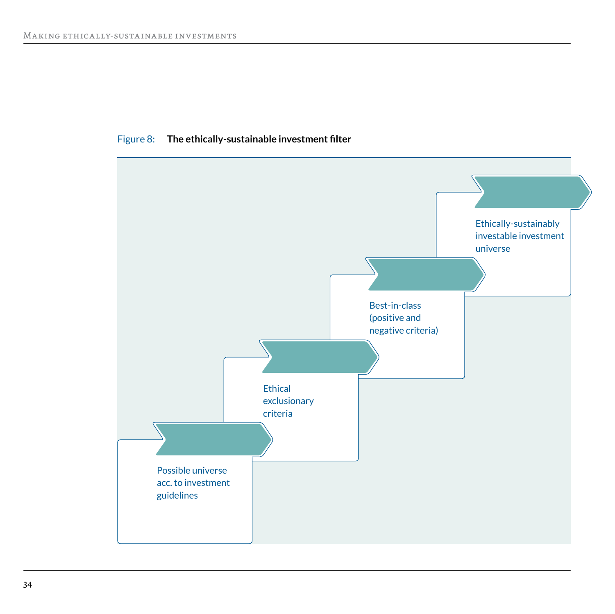

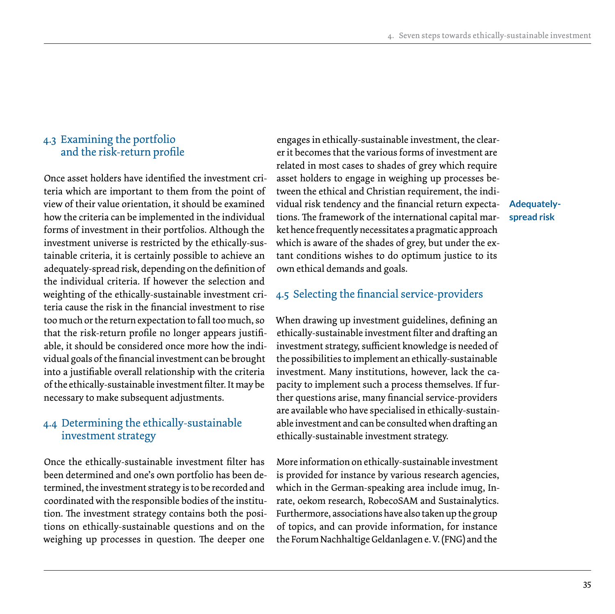#### 4.3 Examining the portfolio and the risk-return profile

Once asset holders have identified the investment criteria which are important to them from the point of view of their value orientation, it should be examined how the criteria can be implemented in the individual forms of investment in their portfolios. Although the investment universe is restricted by the ethically-sustainable criteria, it is certainly possible to achieve an adequately-spread risk, depending on the definition of the individual criteria. If however the selection and weighting of the ethically-sustainable investment criteria cause the risk in the financial investment to rise too much or the return expectation to fall too much, so that the risk-return profile no longer appears justifiable, it should be considered once more how the individual goals of the financial investment can be brought into a justifiable overall relationship with the criteria of the ethically-sustainable investment filter. It may be necessary to make subsequent adjustments.

#### 4.4 Determining the ethically-sustainable investment strategy

Once the ethically-sustainable investment filter has been determined and one's own portfolio has been determined, the investment strategy is to be recorded and coordinated with the responsible bodies of the institution. The investment strategy contains both the positions on ethically-sustainable questions and on the weighing up processes in question. The deeper one

engages in ethically-sustainable investment, the clearer it becomes that the various forms of investment are related in most cases to shades of grey which require asset holders to engage in weighing up processes between the ethical and Christian requirement, the individual risk tendency and the financial return expectations. The framework of the international capital market hence frequently necessitates a pragmatic approach which is aware of the shades of grey, but under the extant conditions wishes to do optimum justice to its own ethical demands and goals.

**Adequatelyspread risk**

#### 4.5 Selecting the financial service-providers

When drawing up investment guidelines, defining an ethically-sustainable investment filter and drafting an investment strategy, sufficient knowledge is needed of the possibilities to implement an ethically-sustainable investment. Many institutions, however, lack the capacity to implement such a process themselves. If further questions arise, many financial service-providers are available who have specialised in ethically-sustainable investment and can be consulted when drafting an ethically-sustainable investment strategy.

More information on ethically-sustainable investment is provided for instance by various research agencies, which in the German-speaking area include imug, Inrate, oekom research, RobecoSAM and Sustainalytics. Furthermore, associations have also taken up the group of topics, and can provide information, for instance the Forum Nachhaltige Geldanlagen e. V. (FNG) and the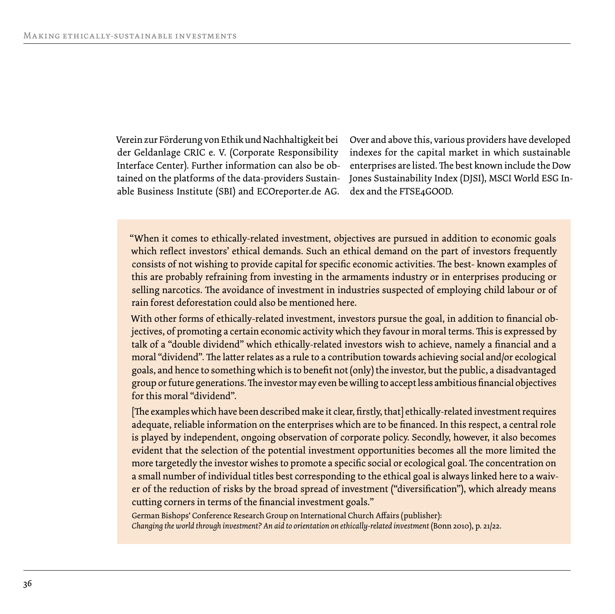Verein zur Förderung von Ethik und Nachhaltigkeit bei der Geldanlage CRIC e. V. (Corporate Responsibility Interface Center). Further information can also be obtained on the platforms of the data-providers Sustainable Business Institute (SBI) and ECOreporter.de AG.

Over and above this, various providers have developed indexes for the capital market in which sustainable enterprises are listed. The best known include the Dow Jones Sustainability Index (DJSI), MSCI World ESG Index and the FTSE4GOOD.

"When it comes to ethically-related investment, objectives are pursued in addition to economic goals which reflect investors' ethical demands. Such an ethical demand on the part of investors frequently consists of not wishing to provide capital for specific economic activities. The best- known examples of this are probably refraining from investing in the armaments industry or in enterprises producing or selling narcotics. The avoidance of investment in industries suspected of employing child labour or of rain forest deforestation could also be mentioned here.

With other forms of ethically-related investment, investors pursue the goal, in addition to financial objectives, of promoting a certain economic activity which they favour in moral terms. This is expressed by talk of a "double dividend" which ethically-related investors wish to achieve, namely a financial and a moral "dividend". The latter relates as a rule to a contribution towards achieving social and/or ecological goals, and hence to something which is to benefit not (only) the investor, but the public, a disadvantaged group or future generations. The investor may even be willing to accept less ambitious financial objectives for this moral "dividend".

[The examples which have been described make it clear, firstly, that] ethically-related investment requires adequate, reliable information on the enterprises which are to be financed. In this respect, a central role is played by independent, ongoing observation of corporate policy. Secondly, however, it also becomes evident that the selection of the potential investment opportunities becomes all the more limited the more targetedly the investor wishes to promote a specific social or ecological goal. The concentration on a small number of individual titles best corresponding to the ethical goal is always linked here to a waiver of the reduction of risks by the broad spread of investment ("diversification"), which already means cutting corners in terms of the financial investment goals."

German Bishops' Conference Research Group on International Church Affairs (publisher): *Changing the world through investment? An aid to orientation on ethically-related investment* (Bonn 2010), p. 21/22.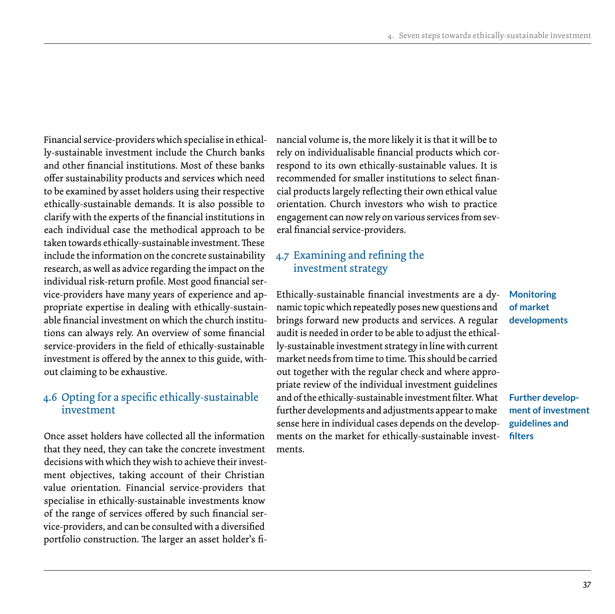Financial service-providers which specialise in ethically-sustainable investment include the Church banks and other financial institutions. Most of these banks offer sustainability products and services which need to be examined by asset holders using their respective ethically-sustainable demands. It is also possible to clarify with the experts of the financial institutions in each individual case the methodical approach to be taken towards ethically-sustainable investment. These include the information on the concrete sustainability research, as well as advice regarding the impact on the individual risk-return profile. Most good financial service-providers have many years of experience and appropriate expertise in dealing with ethically-sustainable financial investment on which the church institutions can always rely. An overview of some financial service-providers in the field of ethically-sustainable investment is offered by the annex to this guide, without claiming to be exhaustive.

### 4.6 Opting for a specific ethically-sustainable investment

Once asset holders have collected all the information that they need, they can take the concrete investment decisions with which they wish to achieve their investment objectives, taking account of their Christian value orientation. Financial service-providers that specialise in ethically-sustainable investments know of the range of services offered by such financial service-providers, and can be consulted with a diversified portfolio construction. The larger an asset holder's financial volume is, the more likely it is that it will be to rely on individualisable financial products which correspond to its own ethically-sustainable values. It is recommended for smaller institutions to select financial products largely reflecting their own ethical value orientation. Church investors who wish to practice engagement can now rely on various services from several financial service-providers.

#### 4.7 Examining and refining the investment strategy

Ethically-sustainable financial investments are a dynamic topic which repeatedly poses new questions and brings forward new products and services. A regular audit is needed in order to be able to adjust the ethically-sustainable investment strategy in line with current market needs from time to time. This should be carried out together with the regular check and where appropriate review of the individual investment guidelines and of the ethically-sustainable investment filter. What further developments and adjustments appear to make sense here in individual cases depends on the developments on the market for ethically-sustainable investments.

**Monitoring of market developments**

**Further development of investment guidelines and filters**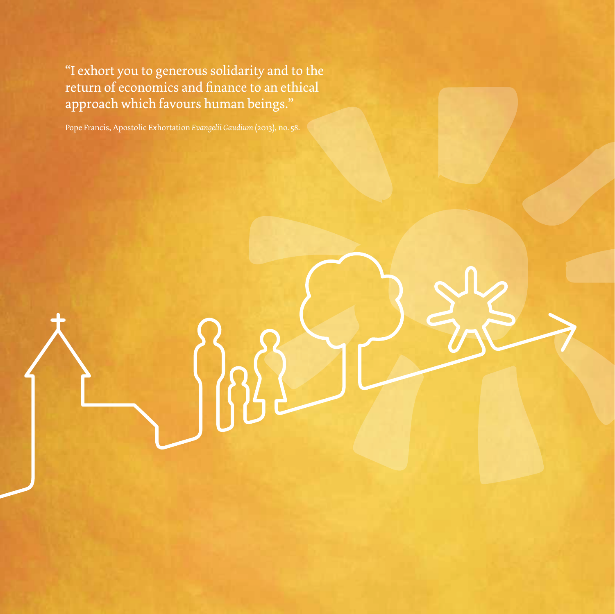"I exhort you to generous solidarity and to the return of economics and finance to an ethical approach which favours human beings."

Pope Francis, Apostolic Exhortation *Evangelii Gaudium* (2013), no. 58.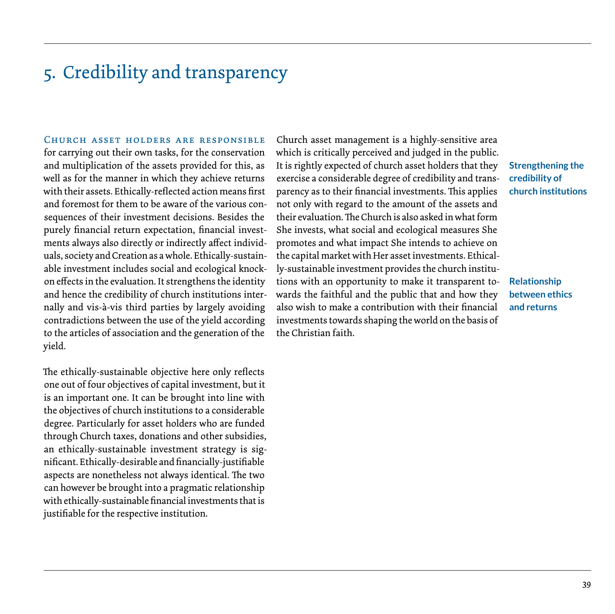### 5. Credibility and transparency

Church asset holders are responsible for carrying out their own tasks, for the conservation and multiplication of the assets provided for this, as well as for the manner in which they achieve returns with their assets. Ethically-reflected action means first and foremost for them to be aware of the various consequences of their investment decisions. Besides the purely financial return expectation, financial investments always also directly or indirectly affect individuals, society and Creation as a whole. Ethically-sustainable investment includes social and ecological knockon effects in the evaluation. It strengthens the identity and hence the credibility of church institutions internally and vis-à-vis third parties by largely avoiding contradictions between the use of the yield according to the articles of association and the generation of the yield.

The ethically-sustainable objective here only reflects one out of four objectives of capital investment, but it is an important one. It can be brought into line with the objectives of church institutions to a considerable degree. Particularly for asset holders who are funded through Church taxes, donations and other subsidies, an ethically-sustainable investment strategy is significant. Ethically-desirable and financially-justifiable aspects are nonetheless not always identical. The two can however be brought into a pragmatic relationship with ethically-sustainable financial investments that is justifiable for the respective institution.

Church asset management is a highly-sensitive area which is critically perceived and judged in the public. It is rightly expected of church asset holders that they exercise a considerable degree of credibility and transparency as to their financial investments. This applies not only with regard to the amount of the assets and their evaluation. The Church is also asked in what form She invests, what social and ecological measures She promotes and what impact She intends to achieve on the capital market with Her asset investments. Ethically-sustainable investment provides the church institutions with an opportunity to make it transparent towards the faithful and the public that and how they also wish to make a contribution with their financial investments towards shaping the world on the basis of the Christian faith.

**Strengthening the credibility of church institutions**

**Relationship between ethics and returns**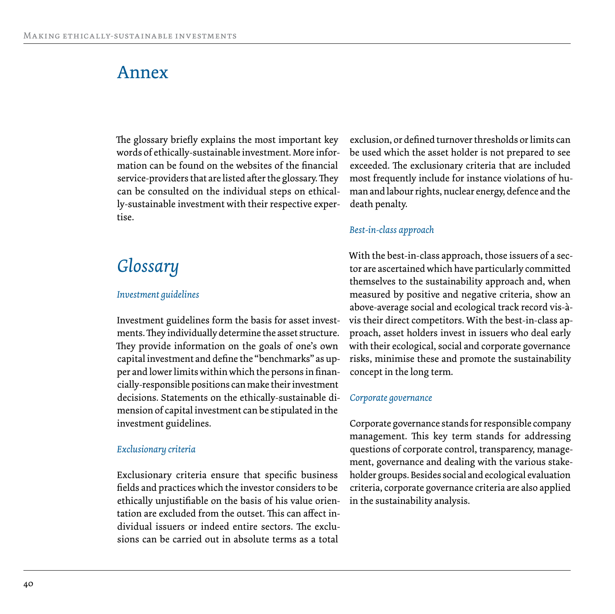### Annex

The glossary briefly explains the most important key words of ethically-sustainable investment. More information can be found on the websites of the financial service-providers that are listed after the glossary. They can be consulted on the individual steps on ethically-sustainable investment with their respective expertise.

### *Glossary*

#### *Investment guidelines*

Investment guidelines form the basis for asset investments. They individually determine the asset structure. They provide information on the goals of one's own capital investment and define the "benchmarks" as upper and lower limits within which the persons in financially-responsible positions can make their investment decisions. Statements on the ethically-sustainable dimension of capital investment can be stipulated in the investment guidelines.

#### *Exclusionary criteria*

Exclusionary criteria ensure that specific business fields and practices which the investor considers to be ethically unjustifiable on the basis of his value orientation are excluded from the outset. This can affect individual issuers or indeed entire sectors. The exclusions can be carried out in absolute terms as a total

exclusion, or defined turnover thresholds or limits can be used which the asset holder is not prepared to see exceeded. The exclusionary criteria that are included most frequently include for instance violations of human and labour rights, nuclear energy, defence and the death penalty.

#### *Best-in-class approach*

With the best-in-class approach, those issuers of a sector are ascertained which have particularly committed themselves to the sustainability approach and, when measured by positive and negative criteria, show an above-average social and ecological track record vis-àvis their direct competitors. With the best-in-class approach, asset holders invest in issuers who deal early with their ecological, social and corporate governance risks, minimise these and promote the sustainability concept in the long term.

#### *Corporate governance*

Corporate governance stands for responsible company management. This key term stands for addressing questions of corporate control, transparency, management, governance and dealing with the various stakeholder groups. Besides social and ecological evaluation criteria, corporate governance criteria are also applied in the sustainability analysis.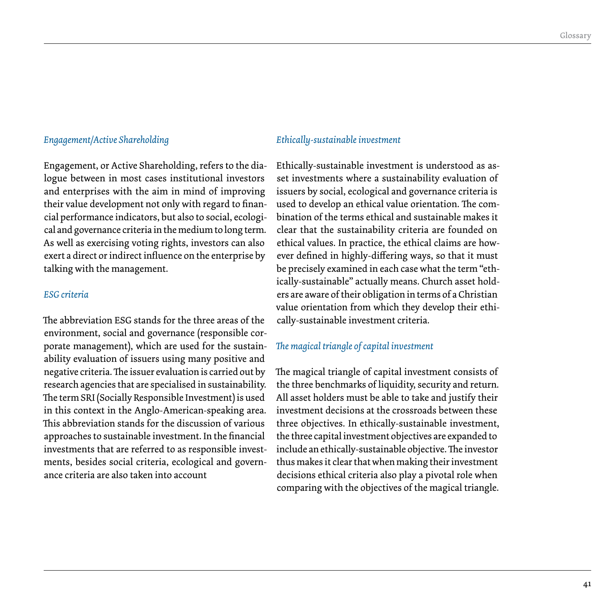#### *Engagement/Active Shareholding*

Engagement, or Active Shareholding, refers to the dialogue between in most cases institutional investors and enterprises with the aim in mind of improving their value development not only with regard to financial performance indicators, but also to social, ecological and governance criteria in the medium to long term. As well as exercising voting rights, investors can also exert a direct or indirect influence on the enterprise by talking with the management.

#### *ESG criteria*

The abbreviation ESG stands for the three areas of the environment, social and governance (responsible corporate management), which are used for the sustainability evaluation of issuers using many positive and negative criteria. The issuer evaluation is carried out by research agencies that are specialised in sustainability. The term SRI (Socially Responsible Investment) is used in this context in the Anglo-American-speaking area. This abbreviation stands for the discussion of various approaches to sustainable investment. In the financial investments that are referred to as responsible investments, besides social criteria, ecological and governance criteria are also taken into account

#### *Ethically-sustainable investment*

Ethically-sustainable investment is understood as asset investments where a sustainability evaluation of issuers by social, ecological and governance criteria is used to develop an ethical value orientation. The combination of the terms ethical and sustainable makes it clear that the sustainability criteria are founded on ethical values. In practice, the ethical claims are however defined in highly-differing ways, so that it must be precisely examined in each case what the term "ethically-sustainable" actually means. Church asset holders are aware of their obligation in terms of a Christian value orientation from which they develop their ethically-sustainable investment criteria.

#### *The magical triangle of capital investment*

The magical triangle of capital investment consists of the three benchmarks of liquidity, security and return. All asset holders must be able to take and justify their investment decisions at the crossroads between these three objectives. In ethically-sustainable investment, the three capital investment objectives are expanded to include an ethically-sustainable objective. The investor thus makes it clear that when making their investment decisions ethical criteria also play a pivotal role when comparing with the objectives of the magical triangle.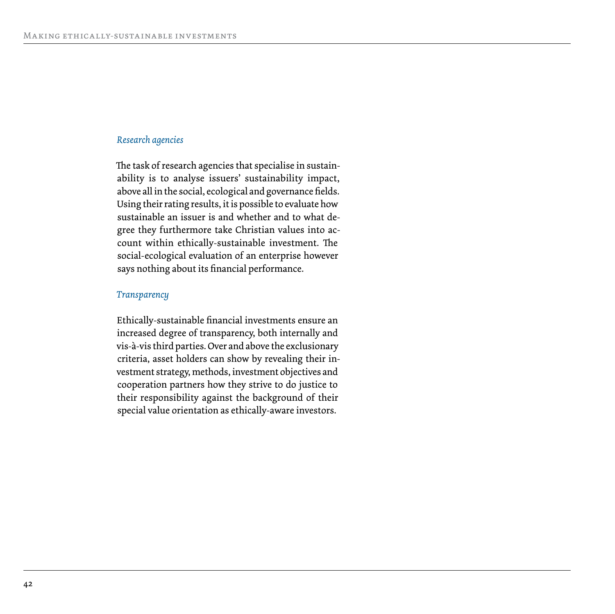#### *Research agencies*

The task of research agencies that specialise in sustainability is to analyse issuers' sustainability impact, above all in the social, ecological and governance fields. Using their rating results, it is possible to evaluate how sustainable an issuer is and whether and to what degree they furthermore take Christian values into account within ethically-sustainable investment. The social-ecological evaluation of an enterprise however says nothing about its financial performance.

#### *Transparency*

Ethically-sustainable financial investments ensure an increased degree of transparency, both internally and vis-à-vis third parties. Over and above the exclusionary criteria, asset holders can show by revealing their investment strategy, methods, investment objectives and cooperation partners how they strive to do justice to their responsibility against the background of their special value orientation as ethically-aware investors.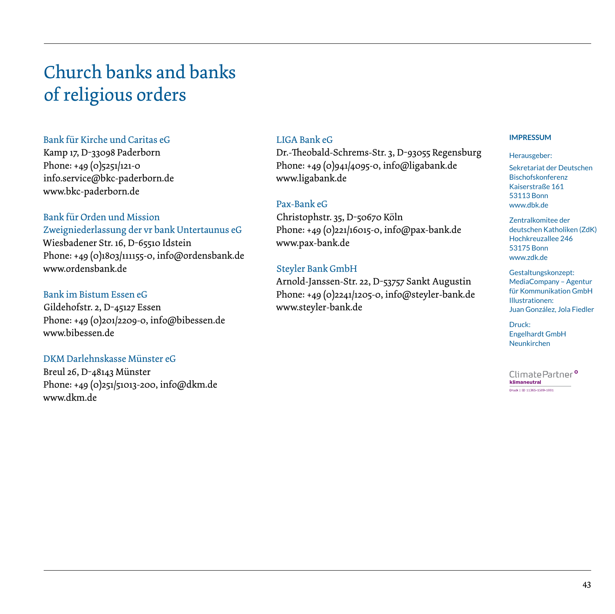### Church banks and banks of religious orders

#### Bank für Kirche und Caritas eG

Kamp 17, D-33098 Paderborn Phone: +49 (0)5251/121-0 info.service@bkc-paderborn.de www.bkc-paderborn.de

#### Bank für Orden und Mission

Zweigniederlassung der vr bank Untertaunus eG

Wiesbadener Str. 16, D-65510 Idstein Phone: +49 (0)1803/111155-0, info@ordensbank.de www.ordensbank.de

#### Bank im Bistum Essen eG

Gildehofstr. 2, D-45127 Essen Phone: +49 (0)201/2209-0, info@bibessen.de www.bibessen.de

#### DKM Darlehnskasse Münster eG

Breul 26, D-48143 Münster Phone: +49 (0)251/51013-200, info@dkm.de www.dkm.de

#### LIGA Bank eG

Dr.-Theobald-Schrems-Str. 3, D-93055 Regensburg Phone: +49 (0)941/4095-0, info@ligabank.de www.ligabank.de

#### Pax-Bank eG

Christophstr. 35, D-50670 Köln Phone: +49 (0)221/16015-0, info@pax-bank.de www.pax-bank.de

#### Steyler Bank GmbH

Arnold-Janssen-Str. 22, D-53757 Sankt Augustin Phone: +49 (0)2241/1205-0, info@steyler-bank.de www.steyler-bank.de

#### **IMPRESSUM**

Herausgeber:

Sekretariat der Deutschen Bischofskonferenz Kaiserstraße 161 53113 Bonn www.dbk.de

Zentralkomitee der deutschen Katholiken (ZdK) Hochkreuzallee 246 53175 Bonn www.zdk.de

Gestaltungskonzept: MediaCompany – Agentur für Kommunikation GmbH Illustrationen: Juan González, Jola Fiedler

Druck: Engelhardt GmbH Neunkirchen

Climate Partner<sup>o</sup> klimaneutral Druck | ID 11365-1509-1001